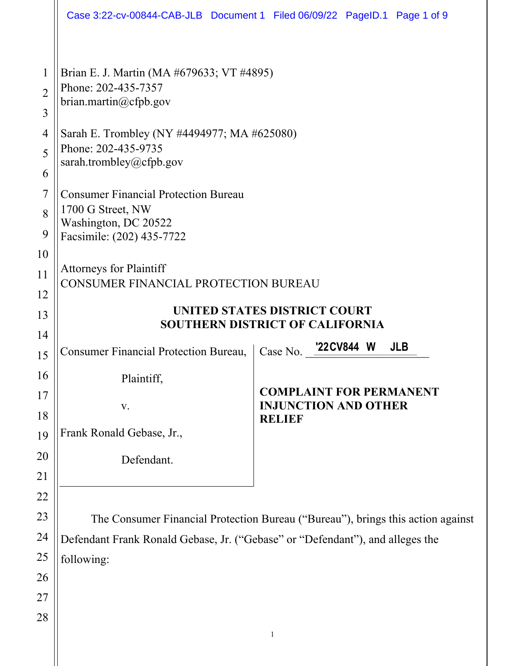|                                    |                                                                                                                                                                                | Case 3:22-cv-00844-CAB-JLB Document 1 Filed 06/09/22 PageID.1 Page 1 of 9      |
|------------------------------------|--------------------------------------------------------------------------------------------------------------------------------------------------------------------------------|--------------------------------------------------------------------------------|
| $\mathbf 1$<br>$\overline{2}$<br>3 | Brian E. J. Martin (MA #679633; VT #4895)<br>Phone: 202-435-7357<br>brian.martin@cfpb.gov                                                                                      |                                                                                |
| 4<br>5<br>6                        | Sarah E. Trombley (NY #4494977; MA #625080)<br>Phone: 202-435-9735<br>sarah.trombley@cfpb.gov                                                                                  |                                                                                |
| $\overline{7}$<br>8<br>9           | <b>Consumer Financial Protection Bureau</b><br>1700 G Street, NW<br>Washington, DC 20522<br>Facsimile: (202) 435-7722                                                          |                                                                                |
| 10<br>11<br>12<br>13               | <b>Attorneys for Plaintiff</b><br>CONSUMER FINANCIAL PROTECTION BUREAU<br>UNITED STATES DISTRICT COURT                                                                         |                                                                                |
| 14                                 | <b>SOUTHERN DISTRICT OF CALIFORNIA</b>                                                                                                                                         |                                                                                |
| 15                                 | <b>Consumer Financial Protection Bureau,</b>                                                                                                                                   | Case No. 22CV844 W<br><b>JLB</b>                                               |
| 16<br>17<br>18<br>19               | Plaintiff,<br>$\mathbf{V}$ .<br>Frank Ronald Gebase, Jr.,                                                                                                                      | <b>COMPLAINT FOR PERMANENT</b><br><b>INJUNCTION AND OTHER</b><br><b>RELIEF</b> |
| 20<br>21                           | Defendant.                                                                                                                                                                     |                                                                                |
| 22<br>23<br>24<br>25               | The Consumer Financial Protection Bureau ("Bureau"), brings this action against<br>Defendant Frank Ronald Gebase, Jr. ("Gebase" or "Defendant"), and alleges the<br>following: |                                                                                |
| 26<br>27<br>28                     |                                                                                                                                                                                | $\mathbf{1}$                                                                   |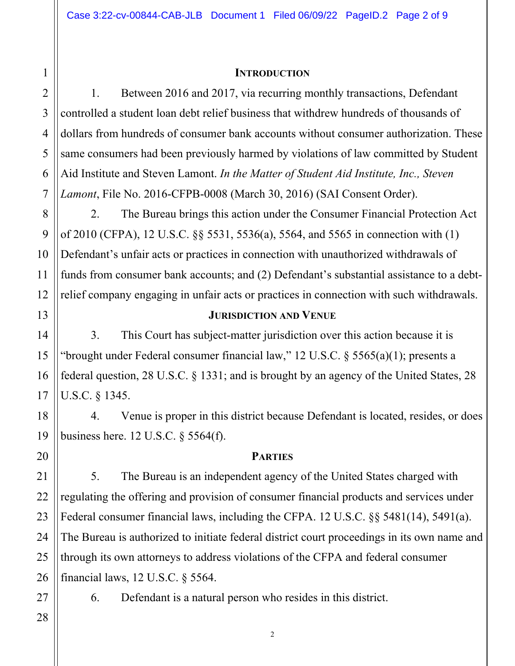#### **INTRODUCTION**

4 6 7 1. Between 2016 and 2017, via recurring monthly transactions, Defendant controlled a student loan debt relief business that withdrew hundreds of thousands of dollars from hundreds of consumer bank accounts without consumer authorization. These same consumers had been previously harmed by violations of law committed by Student Aid Institute and Steven Lamont. *In the Matter of Student Aid Institute, Inc., Steven Lamont*, File No. 2016-CFPB-0008 (March 30, 2016) (SAI Consent Order).

2. The Bureau brings this action under the Consumer Financial Protection Act of 2010 (CFPA), 12 U.S.C. §§ 5531, 5536(a), 5564, and 5565 in connection with (1) Defendant's unfair acts or practices in connection with unauthorized withdrawals of funds from consumer bank accounts; and (2) Defendant's substantial assistance to a debtrelief company engaging in unfair acts or practices in connection with such withdrawals.

## **JURISDICTION AND VENUE**

3. This Court has subject-matter jurisdiction over this action because it is "brought under Federal consumer financial law," 12 U.S.C.  $\S$  5565(a)(1); presents a federal question, 28 U.S.C. § 1331; and is brought by an agency of the United States, 28 U.S.C. § 1345.

4. Venue is proper in this district because Defendant is located, resides, or does business here. 12 U.S.C. § 5564(f).

## **PARTIES**

5. The Bureau is an independent agency of the United States charged with regulating the offering and provision of consumer financial products and services under Federal consumer financial laws, including the CFPA. 12 U.S.C. §§ 5481(14), 5491(a). The Bureau is authorized to initiate federal district court proceedings in its own name and through its own attorneys to address violations of the CFPA and federal consumer financial laws, 12 U.S.C. § 5564.

6. Defendant is a natural person who resides in this district.

28

1

2

3

5

8

9

10

11

12

13

14

15

16

17

18

19

20

21

22

23

24

25

26

27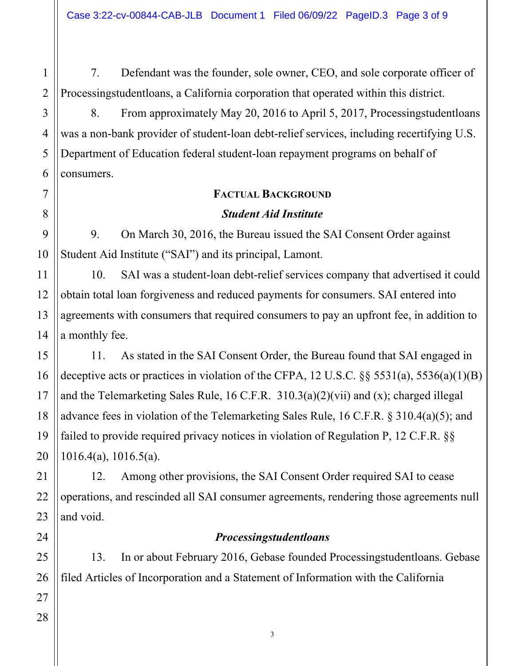7. Defendant was the founder, sole owner, CEO, and sole corporate officer of Processingstudentloans, a California corporation that operated within this district.

8. From approximately May 20, 2016 to April 5, 2017, Processingstudentloans was a non-bank provider of student-loan debt-relief services, including recertifying U.S. Department of Education federal student-loan repayment programs on behalf of consumers.

## **FACTUAL BACKGROUND**

## *Student Aid Institute*

9. On March 30, 2016, the Bureau issued the SAI Consent Order against Student Aid Institute ("SAI") and its principal, Lamont.

10. SAI was a student-loan debt-relief services company that advertised it could obtain total loan forgiveness and reduced payments for consumers. SAI entered into agreements with consumers that required consumers to pay an upfront fee, in addition to a monthly fee.

11. As stated in the SAI Consent Order, the Bureau found that SAI engaged in deceptive acts or practices in violation of the CFPA, 12 U.S.C.  $\S$ § 5531(a), 5536(a)(1)(B) and the Telemarketing Sales Rule, 16 C.F.R. 310.3(a)(2)(vii) and (x); charged illegal advance fees in violation of the Telemarketing Sales Rule, 16 C.F.R. § 310.4(a)(5); and failed to provide required privacy notices in violation of Regulation P, 12 C.F.R. §§ 1016.4(a), 1016.5(a).

12. Among other provisions, the SAI Consent Order required SAI to cease operations, and rescinded all SAI consumer agreements, rendering those agreements null and void.

## *Processingstudentloans*

13. In or about February 2016, Gebase founded Processingstudentloans. Gebase filed Articles of Incorporation and a Statement of Information with the California

1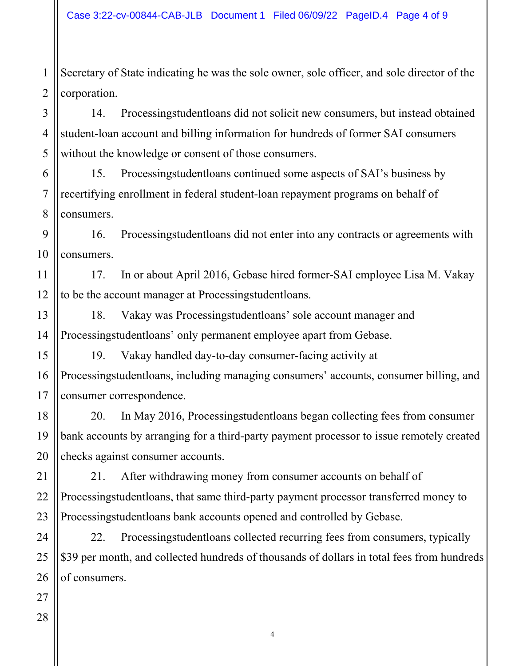1 2 Secretary of State indicating he was the sole owner, sole officer, and sole director of the corporation.

14. Processingstudentloans did not solicit new consumers, but instead obtained student-loan account and billing information for hundreds of former SAI consumers without the knowledge or consent of those consumers.

6 7 8 15. Processingstudentloans continued some aspects of SAI's business by recertifying enrollment in federal student-loan repayment programs on behalf of consumers.

9 10 16. Processingstudentloans did not enter into any contracts or agreements with consumers.

11 12 17. In or about April 2016, Gebase hired former-SAI employee Lisa M. Vakay to be the account manager at Processingstudentloans.

13 14 18. Vakay was Processingstudentloans' sole account manager and Processingstudentloans' only permanent employee apart from Gebase.

19. Vakay handled day-to-day consumer-facing activity at Processingstudentloans, including managing consumers' accounts, consumer billing, and consumer correspondence.

20. In May 2016, Processingstudentloans began collecting fees from consumer bank accounts by arranging for a third-party payment processor to issue remotely created checks against consumer accounts.

21. After withdrawing money from consumer accounts on behalf of Processingstudentloans, that same third-party payment processor transferred money to Processingstudentloans bank accounts opened and controlled by Gebase.

22. Processingstudentloans collected recurring fees from consumers, typically \$39 per month, and collected hundreds of thousands of dollars in total fees from hundreds of consumers.

15

16

17

18

3

4

5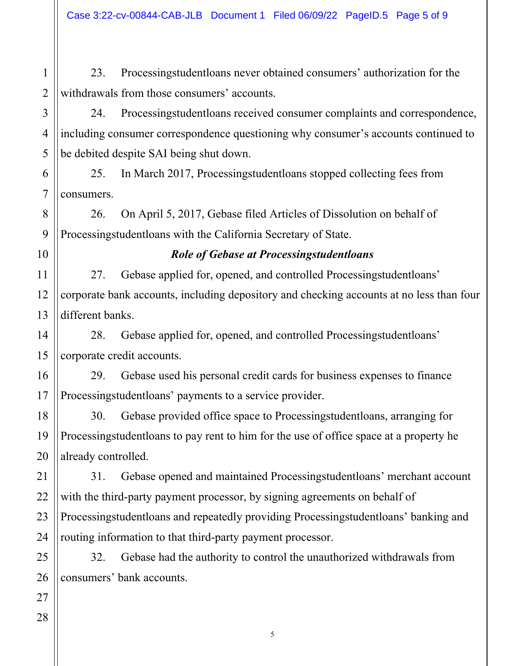23. Processingstudentloans never obtained consumers' authorization for the withdrawals from those consumers' accounts.

24. Processingstudentloans received consumer complaints and correspondence, including consumer correspondence questioning why consumer's accounts continued to be debited despite SAI being shut down.

6 7 25. In March 2017, Processingstudentloans stopped collecting fees from consumers.

26. On April 5, 2017, Gebase filed Articles of Dissolution on behalf of Processingstudentloans with the California Secretary of State.

10

11

12

13

14

15

16

17

18

19

20

8

9

1

2

3

4

5

# *Role of Gebase at Processingstudentloans*

27. Gebase applied for, opened, and controlled Processingstudentloans' corporate bank accounts, including depository and checking accounts at no less than four different banks.

28. Gebase applied for, opened, and controlled Processingstudentloans' corporate credit accounts.

29. Gebase used his personal credit cards for business expenses to finance Processingstudentloans' payments to a service provider.

30. Gebase provided office space to Processingstudentloans, arranging for Processingstudentloans to pay rent to him for the use of office space at a property he already controlled.

21 22 31. Gebase opened and maintained Processingstudentloans' merchant account with the third-party payment processor, by signing agreements on behalf of Processingstudentloans and repeatedly providing Processingstudentloans' banking and routing information to that third-party payment processor.

32. Gebase had the authority to control the unauthorized withdrawals from consumers' bank accounts.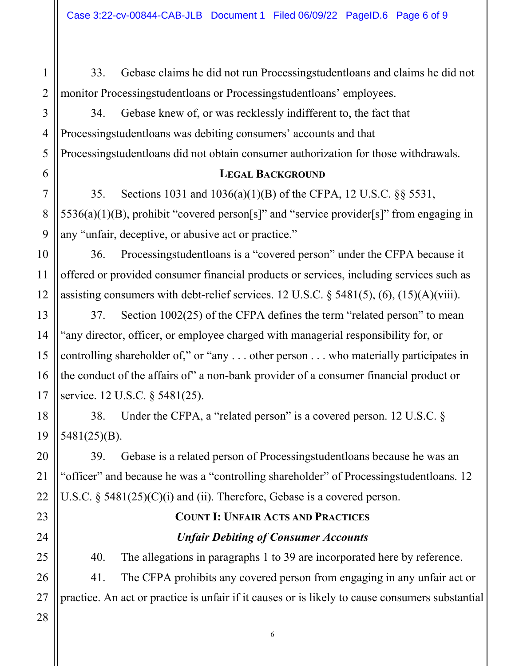33. Gebase claims he did not run Processingstudentloans and claims he did not monitor Processingstudentloans or Processingstudentloans' employees.

34. Gebase knew of, or was recklessly indifferent to, the fact that Processingstudentloans was debiting consumers' accounts and that Processingstudentloans did not obtain consumer authorization for those withdrawals.

#### **LEGAL BACKGROUND**

35. Sections 1031 and 1036(a)(1)(B) of the CFPA, 12 U.S.C. §§ 5531, 5536(a)(1)(B), prohibit "covered person[s]" and "service provider[s]" from engaging in any "unfair, deceptive, or abusive act or practice."

36. Processingstudentloans is a "covered person" under the CFPA because it offered or provided consumer financial products or services, including services such as assisting consumers with debt-relief services. 12 U.S.C.  $\S$  5481(5), (6), (15)(A)(viii).

37. Section 1002(25) of the CFPA defines the term "related person" to mean "any director, officer, or employee charged with managerial responsibility for, or controlling shareholder of," or "any . . . other person . . . who materially participates in the conduct of the affairs of" a non-bank provider of a consumer financial product or service. 12 U.S.C. § 5481(25).

38. Under the CFPA, a "related person" is a covered person. 12 U.S.C. § 5481(25)(B).

39. Gebase is a related person of Processingstudentloans because he was an "officer" and because he was a "controlling shareholder" of Processingstudentloans. 12 U.S.C. § 5481(25)(C)(i) and (ii). Therefore, Gebase is a covered person.

# **COUNT I: UNFAIR ACTS AND PRACTICES** *Unfair Debiting of Consumer Accounts*

40. The allegations in paragraphs 1 to 39 are incorporated here by reference. 41. The CFPA prohibits any covered person from engaging in any unfair act or

practice. An act or practice is unfair if it causes or is likely to cause consumers substantial

1

2

3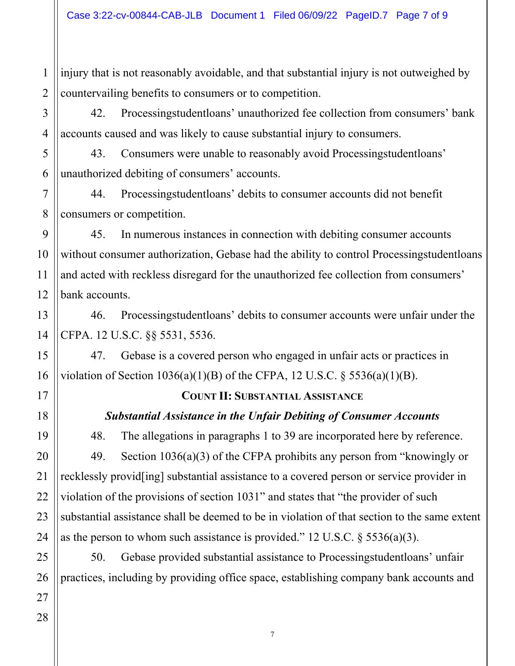1 2 injury that is not reasonably avoidable, and that substantial injury is not outweighed by countervailing benefits to consumers or to competition.

42. Processingstudentloans' unauthorized fee collection from consumers' bank accounts caused and was likely to cause substantial injury to consumers.

43. Consumers were unable to reasonably avoid Processingstudentloans' unauthorized debiting of consumers' accounts.

44. Processingstudentloans' debits to consumer accounts did not benefit consumers or competition.

45. In numerous instances in connection with debiting consumer accounts without consumer authorization, Gebase had the ability to control Processingstudentloans and acted with reckless disregard for the unauthorized fee collection from consumers' bank accounts.

46. Processingstudentloans' debits to consumer accounts were unfair under the CFPA. 12 U.S.C. §§ 5531, 5536.

47. Gebase is a covered person who engaged in unfair acts or practices in violation of Section  $1036(a)(1)(B)$  of the CFPA, 12 U.S.C. § 5536(a)(1)(B).

# **COUNT II: SUBSTANTIAL ASSISTANCE**

# *Substantial Assistance in the Unfair Debiting of Consumer Accounts*

48. The allegations in paragraphs 1 to 39 are incorporated here by reference. 49. Section 1036(a)(3) of the CFPA prohibits any person from "knowingly or recklessly provid[ing] substantial assistance to a covered person or service provider in violation of the provisions of section 1031" and states that "the provider of such substantial assistance shall be deemed to be in violation of that section to the same extent as the person to whom such assistance is provided." 12 U.S.C.  $\S$  5536(a)(3).

50. Gebase provided substantial assistance to Processingstudentloans' unfair practices, including by providing office space, establishing company bank accounts and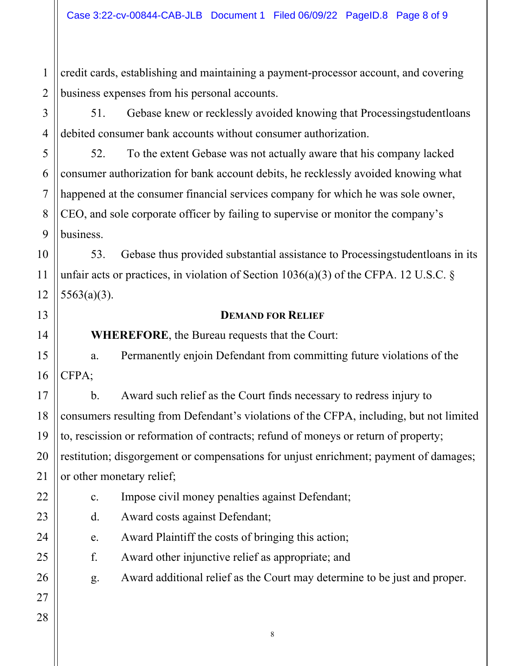2 credit cards, establishing and maintaining a payment-processor account, and covering business expenses from his personal accounts.

51. Gebase knew or recklessly avoided knowing that Processingstudentloans debited consumer bank accounts without consumer authorization.

52. To the extent Gebase was not actually aware that his company lacked consumer authorization for bank account debits, he recklessly avoided knowing what happened at the consumer financial services company for which he was sole owner, CEO, and sole corporate officer by failing to supervise or monitor the company's business.

53. Gebase thus provided substantial assistance to Processingstudentloans in its unfair acts or practices, in violation of Section 1036(a)(3) of the CFPA. 12 U.S.C. § 5563(a)(3).

#### **DEMAND FOR RELIEF**

**WHEREFORE**, the Bureau requests that the Court:

a. Permanently enjoin Defendant from committing future violations of the CFPA;

b. Award such relief as the Court finds necessary to redress injury to consumers resulting from Defendant's violations of the CFPA, including, but not limited to, rescission or reformation of contracts; refund of moneys or return of property; restitution; disgorgement or compensations for unjust enrichment; payment of damages; or other monetary relief;

- c. Impose civil money penalties against Defendant;
- d. Award costs against Defendant;
- e. Award Plaintiff the costs of bringing this action;
- f. Award other injunctive relief as appropriate; and
- g. Award additional relief as the Court may determine to be just and proper.
- 20 21 22 23 24 25 26 27 28

1

3

4

5

6

7

8

9

10

11

12

13

14

15

16

17

18